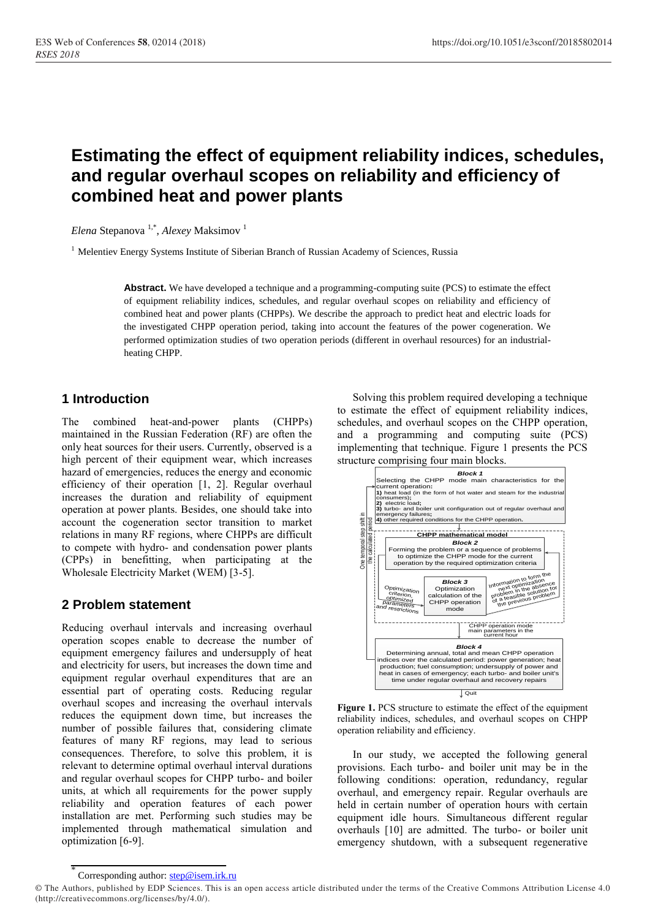# **Estimating the effect of equipment reliability indices, schedules, and regular overhaul scopes on reliability and efficiency of combined heat and power plants**

*Elena* Stepanova 1,\* , *Alexey* Maksimov <sup>1</sup>

<sup>1</sup> Melentiev Energy Systems Institute of Siberian Branch of Russian Academy of Sciences, Russia

**Abstract.** We have developed a technique and a programming-computing suite (PCS) to estimate the effect of equipment reliability indices, schedules, and regular overhaul scopes on reliability and efficiency of combined heat and power plants (CHPPs). We describe the approach to predict heat and electric loads for the investigated CHPP operation period, taking into account the features of the power cogeneration. We performed optimization studies of two operation periods (different in overhaul resources) for an industrialheating CHPP.

## **1 Introduction**

The combined heat-and-power plants (CHPPs) maintained in the Russian Federation (RF) are often the only heat sources for their users. Currently, observed is a high percent of their equipment wear, which increases hazard of emergencies, reduces the energy and economic efficiency of their operation [1, 2]. Regular overhaul increases the duration and reliability of equipment operation at power plants. Besides, one should take into account the cogeneration sector transition to market relations in many RF regions, where CHPPs are difficult to compete with hydro- and condensation power plants (CPPs) in benefitting, when participating at the Wholesale Electricity Market (WEM) [3-5].

#### **2 Problem statement**

Reducing overhaul intervals and increasing overhaul operation scopes enable to decrease the number of equipment emergency failures and undersupply of heat and electricity for users, but increases the down time and equipment regular overhaul expenditures that are an essential part of operating costs. Reducing regular overhaul scopes and increasing the overhaul intervals reduces the equipment down time, but increases the number of possible failures that, considering climate features of many RF regions, may lead to serious consequences. Therefore, to solve this problem, it is relevant to determine optimal overhaul interval durations and regular overhaul scopes for CHPP turbo- and boiler units, at which all requirements for the power supply reliability and operation features of each power installation are met. Performing such studies may be implemented through mathematical simulation and optimization [6-9].

Solving this problem required developing a technique to estimate the effect of equipment reliability indices, schedules, and overhaul scopes on the CHPP operation, and a programming and computing suite (PCS) implementing that technique. Figure 1 presents the PCS structure comprising four main blocks.



**Figure 1.** PCS structure to estimate the effect of the equipment reliability indices, schedules, and overhaul scopes on CHPP operation reliability and efficiency.

In our study, we accepted the following general provisions. Each turbo- and boiler unit may be in the following conditions: operation, redundancy, regular overhaul, and emergency repair. Regular overhauls are held in certain number of operation hours with certain equipment idle hours. Simultaneous different regular overhauls [10] are admitted. The turbo- or boiler unit emergency shutdown, with a subsequent regenerative

<sup>\*</sup> Corresponding author: step@isem.irk.ru

<sup>©</sup> The Authors, published by EDP Sciences. This is an open access article distributed under the terms of the Creative Commons Attribution License 4.0 (http://creativecommons.org/licenses/by/4.0/).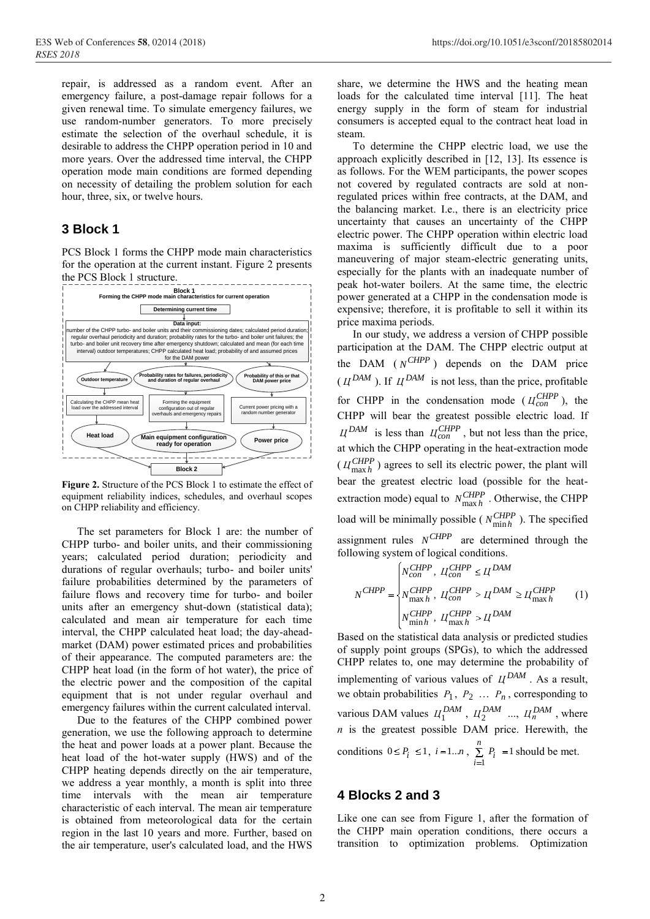repair, is addressed as a random event. After an emergency failure, a post-damage repair follows for a given renewal time. To simulate emergency failures, we use random-number generators. To more precisely estimate the selection of the overhaul schedule, it is desirable to address the CHPP operation period in 10 and more years. Over the addressed time interval, the CHPP operation mode main conditions are formed depending on necessity of detailing the problem solution for each hour, three, six, or twelve hours.

## **3 Block 1**

PCS Block 1 forms the CHPP mode main characteristics for the operation at the current instant. Figure 2 presents the PCS Block 1 structure.



**Figure 2.** Structure of the PCS Block 1 to estimate the effect of equipment reliability indices, schedules, and overhaul scopes on CHPP reliability and efficiency.

The set parameters for Block 1 are: the number of CHPP turbo- and boiler units, and their commissioning years; calculated period duration; periodicity and durations of regular overhauls; turbo- and boiler units' failure probabilities determined by the parameters of failure flows and recovery time for turbo- and boiler units after an emergency shut-down (statistical data); calculated and mean air temperature for each time interval, the CHPP calculated heat load; the day-aheadmarket (DAM) power estimated prices and probabilities of their appearance. The computed parameters are: the CHPP heat load (in the form of hot water), the price of the electric power and the composition of the capital equipment that is not under regular overhaul and emergency failures within the current calculated interval.

Due to the features of the CHPP combined power generation, we use the following approach to determine the heat and power loads at a power plant. Because the heat load of the hot-water supply (HWS) and of the CHPP heating depends directly on the air temperature, we address a year monthly, a month is split into three time intervals with the mean air temperature characteristic of each interval. The mean air temperature is obtained from meteorological data for the certain region in the last 10 years and more. Further, based on the air temperature, user's calculated load, and the HWS

share, we determine the HWS and the heating mean loads for the calculated time interval [11]. The heat energy supply in the form of steam for industrial consumers is accepted equal to the contract heat load in steam.

To determine the CHPP electric load, we use the approach explicitly described in [12, 13]. Its essence is as follows. For the WEM participants, the power scopes not covered by regulated contracts are sold at nonregulated prices within free contracts, at the DAM, and the balancing market. I.e., there is an electricity price uncertainty that causes an uncertainty of the CHPP electric power. The CHPP operation within electric load maxima is sufficiently difficult due to a poor maneuvering of major steam-electric generating units, especially for the plants with an inadequate number of peak hot-water boilers. At the same time, the electric power generated at a CHPP in the condensation mode is expensive; therefore, it is profitable to sell it within its price maxima periods.

In our study, we address a version of CHPP possible participation at the DAM. The CHPP electric output at the DAM  $(N^{CHPP})$  depends on the DAM price  $(\Pi^{DAM})$ . If  $\Pi^{DAM}$  is not less, than the price, profitable for CHPP in the condensation mode ( $H_{con}^{CHPP}$ ), the CHPP will bear the greatest possible electric load. If  $\mu_{DM}^{DAM}$  is less than  $\mu_{con}^{CHPP}$ , but not less than the price, at which the CHPP operating in the heat-extraction mode  $(\Pi_{\text{max }h}^{CHPP})$  agrees to sell its electric power, the plant will bear the greatest electric load (possible for the heatextraction mode) equal to  $N_{\text{max }h}^{CHPP}$ . Otherwise, the CHPP load will be minimally possible ( $N_{\text{min}h}^{CHPP}$ ). The specified assignment rules  $N^{CHPP}$  are determined through the following system of logical conditions.

$$
N^{CHPP} = \begin{cases} N_{con}^{CHPP}, & U_{con}^{CHPP} \leq U^{DAM} \\ N_{\text{max }h}^{CHPP}, & U_{con}^{CHPP} > U^{DAM} \geq U_{\text{max }h}^{CHPP} \\ N_{\text{min }h}^{CHPP}, & U_{\text{max }h}^{CHPP} > U^{DAM} \end{cases} \tag{1}
$$

Based on the statistical data analysis or predicted studies of supply point groups (SPGs), to which the addressed CHPP relates to, one may determine the probability of implementing of various values of  $U^{DAM}$ . As a result, we obtain probabilities  $P_1$ ,  $P_2$  ...  $P_n$ , corresponding to various DAM values  $H_1^{DAM}$ ,  $H_2^{DAM}$  ...,  $H_n^{DAM}$ , where *n* is the greatest possible DAM price. Herewith, the conditions  $0 \le P_i \le 1$ ,  $i = 1...n$ ,  $\sum_{i} P_i = 1$  $I_i$ <sup> $r_i$ </sup> *n i*  $P_i$  = 1 should be met.

## **4 Blocks 2 and 3**

Like one can see from Figure 1, after the formation of the CHPP main operation conditions, there occurs a transition to optimization problems. Optimization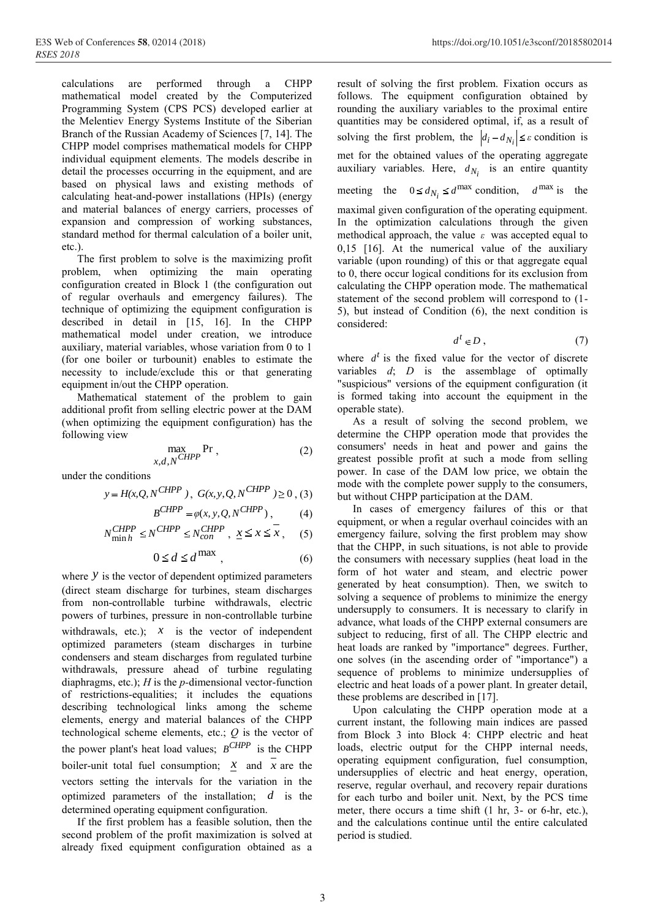calculations are performed through a CHPP mathematical model created by the Computerized Programming System (CPS PCS) developed earlier at the Melentiev Energy Systems Institute of the Siberian Branch of the Russian Academy of Sciences [7, 14]. The CHPP model comprises mathematical models for CHPP individual equipment elements. The models describe in detail the processes occurring in the equipment, and are based on physical laws and existing methods of calculating heat-and-power installations (HPIs) (energy and material balances of energy carriers, processes of expansion and compression of working substances, standard method for thermal calculation of a boiler unit, etc.).

The first problem to solve is the maximizing profit problem, when optimizing the main operating configuration created in Block 1 (the configuration out of regular overhauls and emergency failures). The technique of optimizing the equipment configuration is described in detail in [15, 16]. In the CHPP mathematical model under creation, we introduce auxiliary, material variables, whose variation from 0 to 1 (for one boiler or turbounit) enables to estimate the necessity to include/exclude this or that generating equipment in/out the CHPP operation.

Mathematical statement of the problem to gain additional profit from selling electric power at the DAM (when optimizing the equipment configuration) has the following view

$$
\max_{x,d,N} \Pr \,, \tag{2}
$$

under the conditions

$$
y = H(x, Q, N^{CHPP})
$$
,  $G(x, y, Q, N^{CHPP}) \ge 0$ , (3)

$$
B^{CHPP} = \varphi(x, y, Q, N^{CHPP}), \qquad (4)
$$

$$
N_{\text{min }h}^{CHPP} \le N^{CHPP} \le N_{con}^{CHPP}, \ \underline{x} \le \overline{x}, \tag{5}
$$

$$
0 \le d \le d^{\max} , \qquad (6)
$$

where  $\hat{y}$  is the vector of dependent optimized parameters (direct steam discharge for turbines, steam discharges from non-controllable turbine withdrawals, electric powers of turbines, pressure in non-controllable turbine withdrawals, etc.);  $x$  is the vector of independent optimized parameters (steam discharges in turbine condensers and steam discharges from regulated turbine withdrawals, pressure ahead of turbine regulating diaphragms, etc.); *Н* is the *p-*dimensional vector-function of restrictions-equalities; it includes the equations describing technological links among the scheme elements, energy and material balances of the CHPP technological scheme elements, etc.; *Q* is the vector of the power plant's heat load values;  $B^{CHPP}$  is the CHPP boiler-unit total fuel consumption;  $\overline{x}$  and  $\overline{x}$  are the vectors setting the intervals for the variation in the optimized parameters of the installation; *d* is the determined operating equipment configuration.

If the first problem has a feasible solution, then the second problem of the profit maximization is solved at already fixed equipment configuration obtained as a

result of solving the first problem. Fixation occurs as follows. The equipment configuration obtained by rounding the auxiliary variables to the proximal entire quantities may be considered optimal, if, as a result of solving the first problem, the  $|d_i - d_{N_i}| \leq \varepsilon$  condition is met for the obtained values of the operating aggregate auxiliary variables. Here,  $d_{N_i}$  is an entire quantity

meeting the  $0 \le d_{N_i} \le d^{\text{max}}$  condition,  $d^{\text{max}}$  is the

maximal given configuration of the operating equipment. In the optimization calculations through the given methodical approach, the value *ε* was accepted equal to 0,15 [16]. At the numerical value of the auxiliary variable (upon rounding) of this or that aggregate equal to 0, there occur logical conditions for its exclusion from calculating the CHPP operation mode. The mathematical statement of the second problem will correspond to (1- 5), but instead of Condition (6), the next condition is considered:

$$
d^t \in D \tag{7}
$$

where  $d^t$  is the fixed value for the vector of discrete variables *d*; *D* is the assemblage of optimally "suspicious" versions of the equipment configuration (it is formed taking into account the equipment in the operable state).

As a result of solving the second problem, we determine the CHPP operation mode that provides the consumers' needs in heat and power and gains the greatest possible profit at such a mode from selling power. In case of the DAM low price, we obtain the mode with the complete power supply to the consumers, but without CHPP participation at the DAM.

In cases of emergency failures of this or that equipment, or when a regular overhaul coincides with an emergency failure, solving the first problem may show that the CHPP, in such situations, is not able to provide the consumers with necessary supplies (heat load in the form of hot water and steam, and electric power generated by heat consumption). Then, we switch to solving a sequence of problems to minimize the energy undersupply to consumers. It is necessary to clarify in advance, what loads of the CHPP external consumers are subject to reducing, first of all. The CHPP electric and heat loads are ranked by "importance" degrees. Further, one solves (in the ascending order of "importance") a sequence of problems to minimize undersupplies of electric and heat loads of a power plant. In greater detail, these problems are described in [17].

Upon calculating the CHPP operation mode at a current instant, the following main indices are passed from Block 3 into Block 4: CHPP electric and heat loads, electric output for the CHPP internal needs, operating equipment configuration, fuel consumption, undersupplies of electric and heat energy, operation, reserve, regular overhaul, and recovery repair durations for each turbo and boiler unit. Next, by the PCS time meter, there occurs a time shift (1 hr, 3- or 6-hr, etc.), and the calculations continue until the entire calculated period is studied.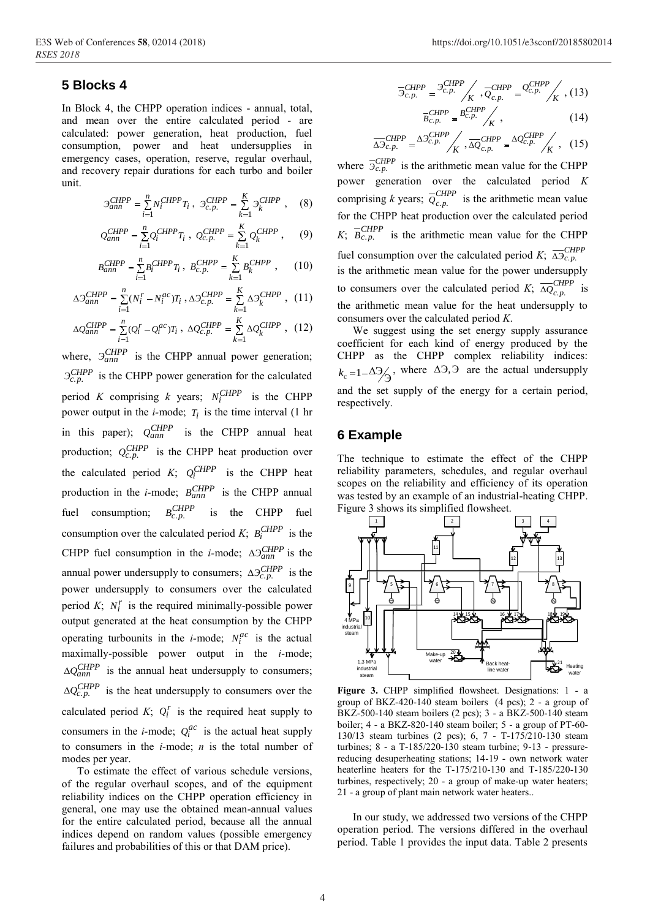## 5 Blocks 4

In Block 4, the CHPP operation indices - annual, total, and mean over the entire calculated period - are calculated: power generation, heat production, fuel consumption, power and heat undersupplies in emergency cases, operation, reserve, regular overhaul, and recovery repair durations for each turbo and boiler unit.

$$
\mathcal{I}_{ann}^{CHPP} = \sum_{i=1}^{n} N_i^{CHPP} T_i \ , \ \mathcal{I}_{c.p.}^{CHPP} = \sum_{k=1}^{K} \mathcal{I}_k^{CHPP} \ , \quad (8)
$$

$$
Q_{ann}^{CHPP} = \sum_{i=1}^{n} Q_{i}^{CHPP} T_{i} , Q_{c.p.}^{CHPP} = \sum_{k=1}^{K} Q_{k}^{CHPP} , \qquad (9)
$$

$$
B_{ann}^{CHPP} = \sum_{i=1}^{n} B_i^{CHPP} T_i, \ B_{c.p.}^{CHPP} = \sum_{k=1}^{K} B_k^{CHPP} , \qquad (10)
$$

$$
\Delta \mathcal{I}^{CHPP}_{ann} = \sum\limits_{i=1}^{n} (N^{r}_{i} - N^{ac}_{i}) T_{i} \; , \nonumber \\ \Delta \mathcal{I}^{CHPP}_{c.p.} = \sum\limits_{k=1}^{K} \Delta \mathcal{I}^{CHPP}_{k} \; , \eqno(11)
$$

$$
\Delta Q_{ann}^{CHPP} = \sum_{i=1}^{n} (Q_i^r - Q_i^{ac}) T_i , \ \Delta Q_{c.p.}^{CHPP} = \sum_{k=1}^{K} \Delta Q_k^{CHPP} , \ (12)
$$

where,  $\partial_{ann}^{CHPP}$  is the CHPP annual power generation;  $\mathcal{I}_{c.p.}^{CHPP}$  is the CHPP power generation for the calculated period K comprising k years;  $N_i^{CHPP}$  is the CHPP power output in the *i*-mode;  $T_i$  is the time interval (1 hr in this paper);  $Q_{ann}^{CHPP}$  is the CHPP annual heat production;  $Q_{c.p.}^{CHPP}$  is the CHPP heat production over the calculated period K;  $Q_i^{CHPP}$  is the CHPP heat production in the *i*-mode;  $B_{ann}^{CHPP}$  is the CHPP annual  $B_{c.p.}^{CHPP}$  is the CHPP fuel fuel consumption; consumption over the calculated period K;  $B_i^{CHPP}$  is the CHPP fuel consumption in the *i*-mode;  $\Delta \mathfrak{I}^{CHPP}_{ann}$  is the annual power undersupply to consumers;  $\Delta \mathcal{I}_{c.n}^{CHPP}$  is the power undersupply to consumers over the calculated period  $K$ ;  $N_i^r$  is the required minimally-possible power output generated at the heat consumption by the CHPP operating turbounits in the *i*-mode;  $N_i^{ac}$  is the actual maximally-possible power output in the  $i$ -mode;  $\Delta Q_{ann}^{CHPP}$  is the annual heat undersupply to consumers;  $\Delta Q_{c.p.}^{CHPP}$  is the heat undersupply to consumers over the calculated period  $K$ ;  $Q_i^r$  is the required heat supply to consumers in the *i*-mode;  $Q_i^{ac}$  is the actual heat supply to consumers in the  $i$ -mode;  $n$  is the total number of modes per year.

To estimate the effect of various schedule versions, of the regular overhaul scopes, and of the equipment reliability indices on the CHPP operation efficiency in general, one may use the obtained mean-annual values for the entire calculated period, because all the annual indices depend on random values (possible emergency failures and probabilities of this or that DAM price).

$$
\overline{\mathcal{I}}_{c.p.}^{CHPP} = \overline{\mathcal{I}_{c.p.}^{CHPP}} / \overline{Q_{c.p.}^{CHPP}} = \overline{\mathcal{Q}_{c.p.}^{CHPP}} / K , (13)
$$
\n
$$
\overline{B_{c.p.}^{CHPP}} = \overline{B_{c.p.}^{CHPP}} / K , (14)
$$

$$
\overline{\Delta 3}_{c.p.}^{CHPP} = \Delta 3_{c.p.}^{CHPP} / K, \overline{\Delta Q}_{c.p.}^{CHPP} = \Delta \mathcal{Q}_{c.p.}^{CHPP} / K, (15)
$$

where  $\overline{5}_{c.p.}^{CHPP}$  is the arithmetic mean value for the CHPP power generation over the calculated period K comprising k years;  $\overline{Q}_{c.p.}^{CHPP}$  is the arithmetic mean value for the CHPP heat production over the calculated period  $K$ ;  $\overline{B_{c.p.}}$  is the arithmetic mean value for the CHPP fuel consumption over the calculated period K;  $\overline{\Delta_{C, p}}$ is the arithmetic mean value for the power undersupply to consumers over the calculated period K;  $\overline{\Delta Q}_{c.p.}^{CHPP}$  is the arithmetic mean value for the heat undersupply to consumers over the calculated period  $K$ .

We suggest using the set energy supply assurance coefficient for each kind of energy produced by the CHPP as the CHPP complex reliability indices:  $k_c = 1 - \Delta \frac{3}{4}$ , where  $\Delta \frac{3}{4}$ , are the actual undersupply and the set supply of the energy for a certain period, respectively.

#### **6 Example**

The technique to estimate the effect of the CHPP reliability parameters, schedules, and regular overhaul scopes on the reliability and efficiency of its operation was tested by an example of an industrial-heating CHPP. Figure 3 shows its simplified flowsheet.



Figure 3. CHPP simplified flowsheet. Designations: 1 - a group of BKZ-420-140 steam boilers  $(4 \text{ pcs})$ ; 2 - a group of BKZ-500-140 steam boilers (2 pcs); 3 - a BKZ-500-140 steam boiler; 4 - a BKZ-820-140 steam boiler; 5 - a group of PT-60-130/13 steam turbines (2 pcs); 6, 7 - T-175/210-130 steam turbines;  $8 - a T - 185/220 - 130$  steam turbine;  $9 - 13$  - pressurereducing desuperheating stations; 14-19 - own network water heaterline heaters for the T-175/210-130 and T-185/220-130 turbines, respectively; 20 - a group of make-up water heaters; 21 - a group of plant main network water heaters..

In our study, we addressed two versions of the CHPP operation period. The versions differed in the overhaul period. Table 1 provides the input data. Table 2 presents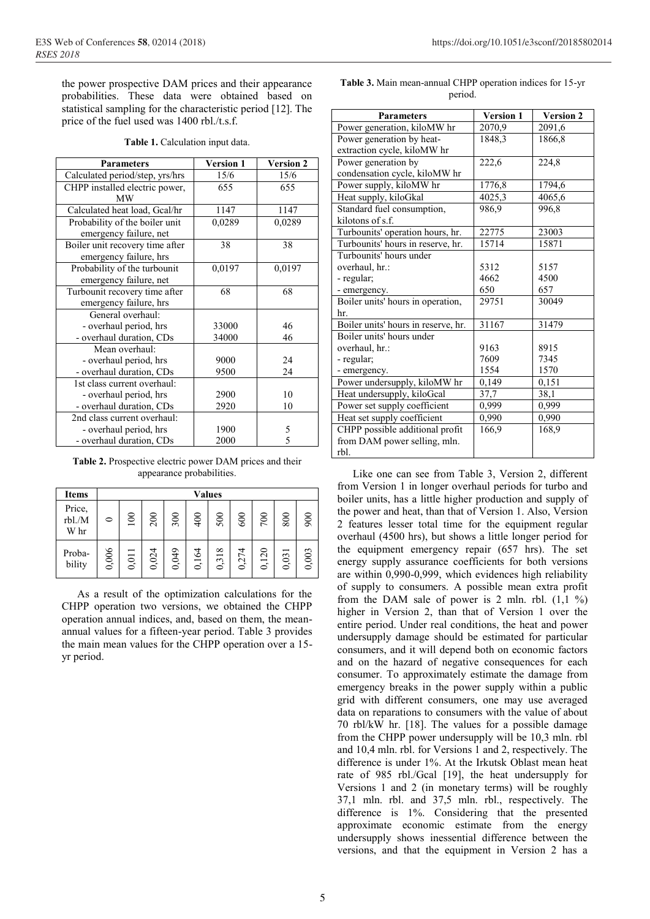the power prospective DAM prices and their appearance probabilities. These data were obtained based on statistical sampling for the characteristic period [12]. The price of the fuel used was 1400 rbl./t.s.f.

| Table 1. Calculation input data. |  |
|----------------------------------|--|
|----------------------------------|--|

| <b>Parameters</b>               | <b>Version 1</b> | <b>Version 2</b> |
|---------------------------------|------------------|------------------|
| Calculated period/step, yrs/hrs | 15/6             | 15/6             |
| CHPP installed electric power,  | 655              | 655              |
| <b>MW</b>                       |                  |                  |
| Calculated heat load, Gcal/hr   | 1147             | 1147             |
| Probability of the boiler unit  | 0,0289           | 0,0289           |
| emergency failure, net          |                  |                  |
| Boiler unit recovery time after | 38               | 38               |
| emergency failure, hrs          |                  |                  |
| Probability of the turbounit    | 0,0197           | 0,0197           |
| emergency failure, net          |                  |                  |
| Turbounit recovery time after   | 68               | 68               |
| emergency failure, hrs          |                  |                  |
| General overhaul:               |                  |                  |
| - overhaul period, hrs          | 33000            | 46               |
| - overhaul duration, CDs        | 34000            | 46               |
| Mean overhaul:                  |                  |                  |
| - overhaul period, hrs          | 9000             | 24               |
| - overhaul duration, CDs        | 9500             | 24               |
| 1st class current overhaul:     |                  |                  |
| - overhaul period, hrs          | 2900             | 10               |
| - overhaul duration, CDs        | 2920             | 10               |
| 2nd class current overhaul:     |                  |                  |
| - overhaul period, hrs          | 1900             | 5                |
| - overhaul duration, CDs        | 2000             | 5                |

**Table 2.** Prospective electric power DAM prices and their appearance probabilities.

| <b>Items</b>             | <b>Values</b> |       |       |       |                     |                        |                                        |                 |       |       |
|--------------------------|---------------|-------|-------|-------|---------------------|------------------------|----------------------------------------|-----------------|-------|-------|
| Price,<br>rbl./M<br>W hr | $\circ$       | 100   | 200   | 300   | 400                 | 500                    | 600                                    | 700             | 800   | 900   |
| Proba-<br>bility         | 0,006         | 0,011 | 0,024 | 0,049 | ,164<br>$\mathbf 0$ | 318<br>$\ddot{ }$<br>0 | 274<br>$\ddot{\phantom{1}}$<br>$\circ$ | ,120<br>$\circ$ | 0,031 | 0,003 |

As a result of the optimization calculations for the CHPP operation two versions, we obtained the CHPP operation annual indices, and, based on them, the meanannual values for a fifteen-year period. Table 3 provides the main mean values for the CHPP operation over a 15 yr period.

| <b>Parameters</b>                   | <b>Version 1</b> | <b>Version 2</b> |
|-------------------------------------|------------------|------------------|
| Power generation, kiloMW hr         | 2070,9           | 2091,6           |
| Power generation by heat-           | 1848,3           | 1866,8           |
| extraction cycle, kiloMW hr         |                  |                  |
| Power generation by                 | 222,6            | 224,8            |
| condensation cycle, kiloMW hr       |                  |                  |
| Power supply, kiloMW hr             | 1776,8           | 1794,6           |
| Heat supply, kiloGkal               | 4025,3           | 4065,6           |
| Standard fuel consumption,          | 986.9            | 996,8            |
| kilotons of s.f.                    |                  |                  |
| Turbounits' operation hours, hr.    | 22775            | 23003            |
| Turbounits' hours in reserve, hr.   | 15714            | 15871            |
| Turbounits' hours under             |                  |                  |
| overhaul, hr.:                      | 5312             | 5157             |
| - regular;                          | 4662             | 4500             |
| - emergency.                        | 650              | 657              |
| Boiler units' hours in operation,   | 29751            | 30049            |
| hr.                                 |                  |                  |
| Boiler units' hours in reserve, hr. | 31167            | 31479            |
| Boiler units' hours under           |                  |                  |
| overhaul, hr.:                      | 9163             | 8915             |
| - regular;                          | 7609             | 7345             |
| - emergency.                        | 1554             | 1570             |
| Power undersupply, kiloMW hr        | 0,149            | 0,151            |
| Heat undersupply, kiloGcal          | 37,7             | 38,1             |
| Power set supply coefficient        | 0,999            | 0,999            |
| Heat set supply coefficient         | 0,990            | 0,990            |
| CHPP possible additional profit     | 166,9            | 168,9            |
| from DAM power selling, mln.        |                  |                  |
| rbl.                                |                  |                  |

**Table 3.** Main mean-annual CHPP operation indices for 15-yr period.

Like one can see from Table 3, Version 2, different from Version 1 in longer overhaul periods for turbo and boiler units, has a little higher production and supply of the power and heat, than that of Version 1. Also, Version 2 features lesser total time for the equipment regular overhaul (4500 hrs), but shows a little longer period for the equipment emergency repair (657 hrs). The set energy supply assurance coefficients for both versions are within 0,990-0,999, which evidences high reliability of supply to consumers. A possible mean extra profit from the DAM sale of power is 2 mln. rbl.  $(1,1, 1\%)$ higher in Version 2, than that of Version 1 over the entire period. Under real conditions, the heat and power undersupply damage should be estimated for particular consumers, and it will depend both on economic factors and on the hazard of negative consequences for each consumer. To approximately estimate the damage from emergency breaks in the power supply within a public grid with different consumers, one may use averaged data on reparations to consumers with the value of about 70 rbl/kW hr. [18]. The values for a possible damage from the CHPP power undersupply will be 10,3 mln. rbl and 10,4 mln. rbl. for Versions 1 and 2, respectively. The difference is under 1%. At the Irkutsk Oblast mean heat rate of 985 rbl./Gcal [19], the heat undersupply for Versions 1 and 2 (in monetary terms) will be roughly 37,1 mln. rbl. and 37,5 mln. rbl., respectively. The difference is 1%. Considering that the presented approximate economic estimate from the energy undersupply shows inessential difference between the versions, and that the equipment in Version 2 has a